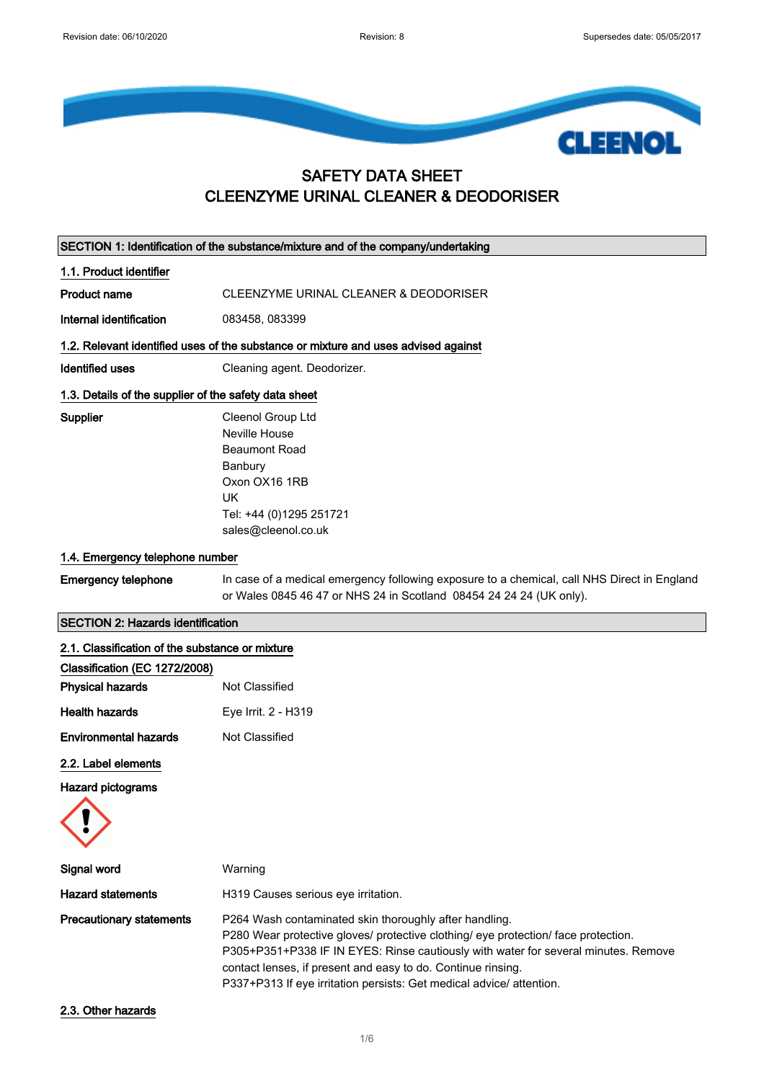

## SAFETY DATA SHEET CLEENZYME URINAL CLEANER & DEODORISER

| SECTION 1: Identification of the substance/mixture and of the company/undertaking |                                                                                                                                                                                                                                                                                                                                                                            |  |
|-----------------------------------------------------------------------------------|----------------------------------------------------------------------------------------------------------------------------------------------------------------------------------------------------------------------------------------------------------------------------------------------------------------------------------------------------------------------------|--|
| 1.1. Product identifier                                                           |                                                                                                                                                                                                                                                                                                                                                                            |  |
| <b>Product name</b>                                                               | CLEENZYME URINAL CLEANER & DEODORISER                                                                                                                                                                                                                                                                                                                                      |  |
| Internal identification                                                           | 083458, 083399                                                                                                                                                                                                                                                                                                                                                             |  |
|                                                                                   | 1.2. Relevant identified uses of the substance or mixture and uses advised against                                                                                                                                                                                                                                                                                         |  |
| <b>Identified uses</b>                                                            | Cleaning agent. Deodorizer.                                                                                                                                                                                                                                                                                                                                                |  |
| 1.3. Details of the supplier of the safety data sheet                             |                                                                                                                                                                                                                                                                                                                                                                            |  |
| Supplier                                                                          | Cleenol Group Ltd<br>Neville House<br><b>Beaumont Road</b><br>Banbury<br>Oxon OX16 1RB<br><b>UK</b><br>Tel: +44 (0)1295 251721<br>sales@cleenol.co.uk                                                                                                                                                                                                                      |  |
| 1.4. Emergency telephone number                                                   |                                                                                                                                                                                                                                                                                                                                                                            |  |
| <b>Emergency telephone</b>                                                        | In case of a medical emergency following exposure to a chemical, call NHS Direct in England<br>or Wales 0845 46 47 or NHS 24 in Scotland 08454 24 24 24 (UK only).                                                                                                                                                                                                         |  |
| <b>SECTION 2: Hazards identification</b>                                          |                                                                                                                                                                                                                                                                                                                                                                            |  |
| 2.1. Classification of the substance or mixture                                   |                                                                                                                                                                                                                                                                                                                                                                            |  |
| Classification (EC 1272/2008)                                                     |                                                                                                                                                                                                                                                                                                                                                                            |  |
| <b>Physical hazards</b>                                                           | Not Classified                                                                                                                                                                                                                                                                                                                                                             |  |
| <b>Health hazards</b>                                                             | Eye Irrit. 2 - H319                                                                                                                                                                                                                                                                                                                                                        |  |
| <b>Environmental hazards</b>                                                      | Not Classified                                                                                                                                                                                                                                                                                                                                                             |  |
| 2.2. Label elements                                                               |                                                                                                                                                                                                                                                                                                                                                                            |  |
| <b>Hazard pictograms</b>                                                          |                                                                                                                                                                                                                                                                                                                                                                            |  |
| Signal word                                                                       | Warning                                                                                                                                                                                                                                                                                                                                                                    |  |
| <b>Hazard statements</b>                                                          | H319 Causes serious eye irritation.                                                                                                                                                                                                                                                                                                                                        |  |
| <b>Precautionary statements</b>                                                   | P264 Wash contaminated skin thoroughly after handling.<br>P280 Wear protective gloves/ protective clothing/ eye protection/ face protection.<br>P305+P351+P338 IF IN EYES: Rinse cautiously with water for several minutes. Remove<br>contact lenses, if present and easy to do. Continue rinsing.<br>P337+P313 If eye irritation persists: Get medical advice/ attention. |  |

2.3. Other hazards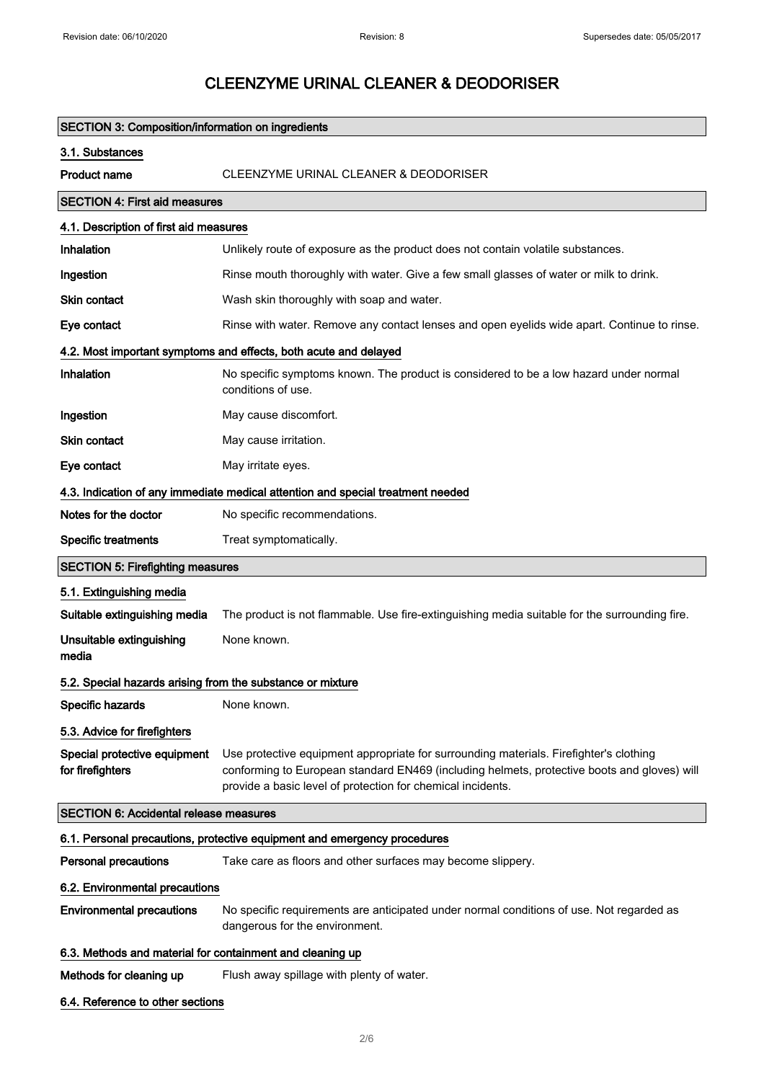# SECTION 3: Composition/information on ingredients 3.1. Substances Product name CLEENZYME URINAL CLEANER & DEODORISER SECTION 4: First aid measures 4.1. Description of first aid measures Inhalation **Interprese Contains 1** Unlikely route of exposure as the product does not contain volatile substances. Ingestion **Rinse mouth thoroughly with water.** Give a few small glasses of water or milk to drink. Skin contact Wash skin thoroughly with soap and water. Eye contact Rinse with water. Remove any contact lenses and open eyelids wide apart. Continue to rinse. 4.2. Most important symptoms and effects, both acute and delayed Inhalation No specific symptoms known. The product is considered to be a low hazard under normal conditions of use. **Ingestion** May cause discomfort. Skin contact May cause irritation. Eye contact May irritate eyes. 4.3. Indication of any immediate medical attention and special treatment needed Notes for the doctor No specific recommendations. Specific treatments Treat symptomatically. SECTION 5: Firefighting measures 5.1. Extinguishing media Suitable extinguishing media The product is not flammable. Use fire-extinguishing media suitable for the surrounding fire. Unsuitable extinguishing media None known. 5.2. Special hazards arising from the substance or mixture Specific hazards None known. 5.3. Advice for firefighters Special protective equipment for firefighters Use protective equipment appropriate for surrounding materials. Firefighter's clothing conforming to European standard EN469 (including helmets, protective boots and gloves) will provide a basic level of protection for chemical incidents. SECTION 6: Accidental release measures 6.1. Personal precautions, protective equipment and emergency procedures Personal precautions Take care as floors and other surfaces may become slippery. 6.2. Environmental precautions Environmental precautions No specific requirements are anticipated under normal conditions of use. Not regarded as dangerous for the environment. 6.3. Methods and material for containment and cleaning up Methods for cleaning up Flush away spillage with plenty of water. 6.4. Reference to other sections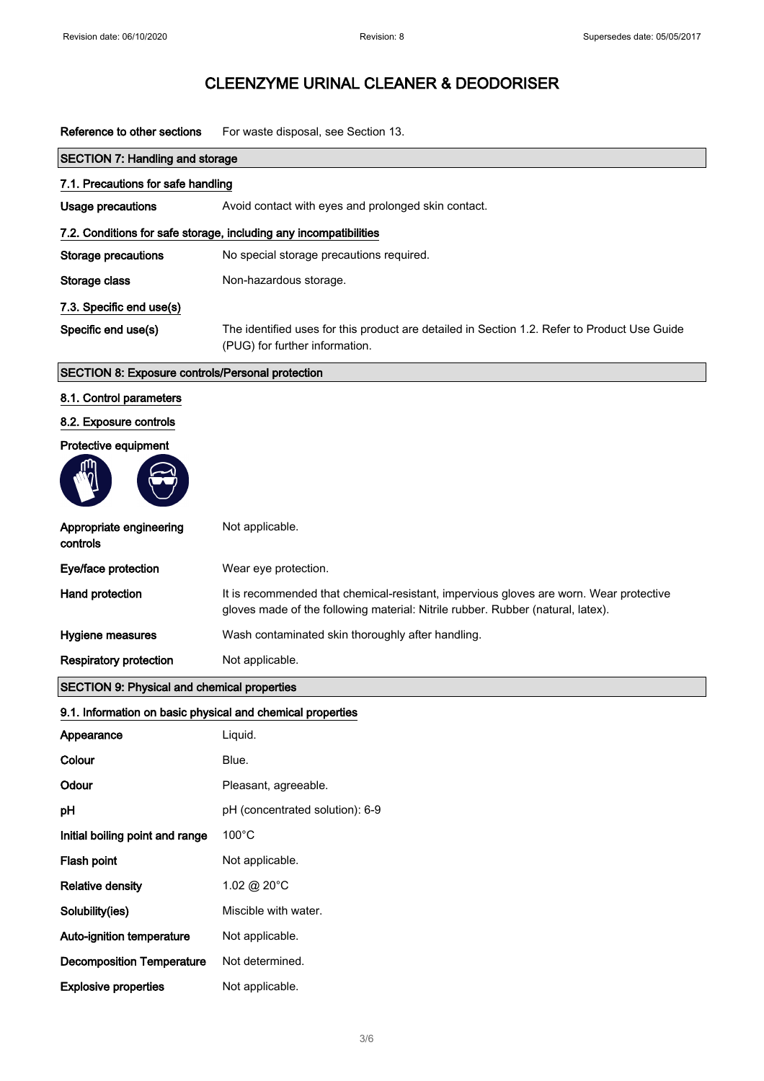I

# CLEENZYME URINAL CLEANER & DEODORISER

Reference to other sections For waste disposal, see Section 13.

| <b>SECTION 7: Handling and storage</b>                     |                                                                                                                                                                           |  |
|------------------------------------------------------------|---------------------------------------------------------------------------------------------------------------------------------------------------------------------------|--|
| 7.1. Precautions for safe handling                         |                                                                                                                                                                           |  |
| <b>Usage precautions</b>                                   | Avoid contact with eyes and prolonged skin contact.                                                                                                                       |  |
|                                                            | 7.2. Conditions for safe storage, including any incompatibilities                                                                                                         |  |
| <b>Storage precautions</b>                                 | No special storage precautions required.                                                                                                                                  |  |
| Storage class                                              | Non-hazardous storage.                                                                                                                                                    |  |
| 7.3. Specific end use(s)                                   |                                                                                                                                                                           |  |
| Specific end use(s)                                        | The identified uses for this product are detailed in Section 1.2. Refer to Product Use Guide<br>(PUG) for further information.                                            |  |
| SECTION 8: Exposure controls/Personal protection           |                                                                                                                                                                           |  |
| 8.1. Control parameters                                    |                                                                                                                                                                           |  |
| 8.2. Exposure controls                                     |                                                                                                                                                                           |  |
| Protective equipment                                       |                                                                                                                                                                           |  |
|                                                            |                                                                                                                                                                           |  |
| Appropriate engineering<br>controls                        | Not applicable.                                                                                                                                                           |  |
| Eye/face protection                                        | Wear eye protection.                                                                                                                                                      |  |
| Hand protection                                            | It is recommended that chemical-resistant, impervious gloves are worn. Wear protective<br>gloves made of the following material: Nitrile rubber. Rubber (natural, latex). |  |
| <b>Hygiene measures</b>                                    | Wash contaminated skin thoroughly after handling.                                                                                                                         |  |
| <b>Respiratory protection</b>                              | Not applicable.                                                                                                                                                           |  |
| <b>SECTION 9: Physical and chemical properties</b>         |                                                                                                                                                                           |  |
| 9.1. Information on basic physical and chemical properties |                                                                                                                                                                           |  |
| Appearance                                                 | Liquid.                                                                                                                                                                   |  |
| Colour                                                     | Blue.                                                                                                                                                                     |  |
| Odour                                                      | Pleasant, agreeable.                                                                                                                                                      |  |
| pH                                                         | pH (concentrated solution): 6-9                                                                                                                                           |  |
| Initial boiling point and range                            | $100^{\circ}$ C                                                                                                                                                           |  |
| Flash point                                                | Not applicable.                                                                                                                                                           |  |
| <b>Relative density</b>                                    | 1.02 @ 20°C                                                                                                                                                               |  |
| Solubility(ies)                                            | Miscible with water.                                                                                                                                                      |  |
| Auto-ignition temperature                                  | Not applicable.                                                                                                                                                           |  |
| <b>Decomposition Temperature</b>                           | Not determined.                                                                                                                                                           |  |
| <b>Explosive properties</b>                                | Not applicable.                                                                                                                                                           |  |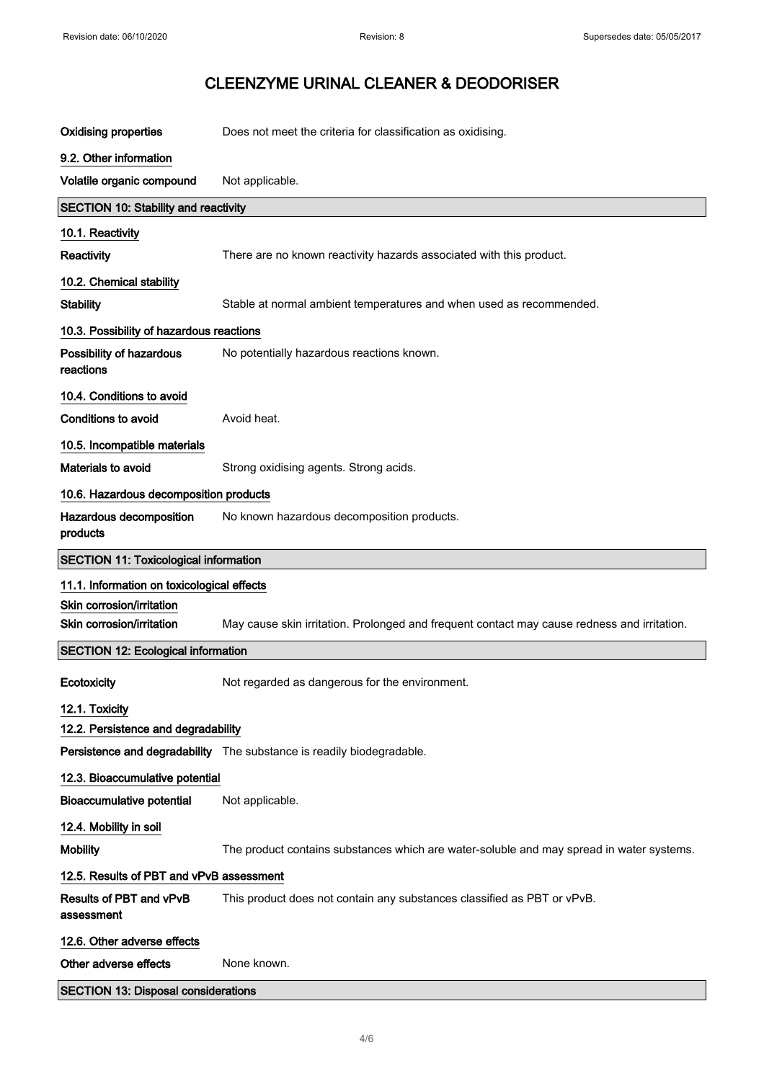| <b>Oxidising properties</b>                  | Does not meet the criteria for classification as oxidising.                                 |
|----------------------------------------------|---------------------------------------------------------------------------------------------|
| 9.2. Other information                       |                                                                                             |
| Volatile organic compound                    | Not applicable.                                                                             |
| SECTION 10: Stability and reactivity         |                                                                                             |
| 10.1. Reactivity                             |                                                                                             |
| Reactivity                                   | There are no known reactivity hazards associated with this product.                         |
| 10.2. Chemical stability                     |                                                                                             |
| <b>Stability</b>                             | Stable at normal ambient temperatures and when used as recommended.                         |
| 10.3. Possibility of hazardous reactions     |                                                                                             |
| Possibility of hazardous<br>reactions        | No potentially hazardous reactions known.                                                   |
| 10.4. Conditions to avoid                    |                                                                                             |
| Conditions to avoid                          | Avoid heat.                                                                                 |
| 10.5. Incompatible materials                 |                                                                                             |
| Materials to avoid                           | Strong oxidising agents. Strong acids.                                                      |
| 10.6. Hazardous decomposition products       |                                                                                             |
| Hazardous decomposition<br>products          | No known hazardous decomposition products.                                                  |
| <b>SECTION 11: Toxicological information</b> |                                                                                             |
| 11.1. Information on toxicological effects   |                                                                                             |
| Skin corrosion/irritation                    |                                                                                             |
| Skin corrosion/irritation                    | May cause skin irritation. Prolonged and frequent contact may cause redness and irritation. |
| <b>SECTION 12: Ecological information</b>    |                                                                                             |
| Ecotoxicity                                  | Not regarded as dangerous for the environment.                                              |
| 12.1. Toxicity                               |                                                                                             |
| 12.2. Persistence and degradability          |                                                                                             |
|                                              | Persistence and degradability The substance is readily biodegradable.                       |
| 12.3. Bioaccumulative potential              |                                                                                             |
| <b>Bioaccumulative potential</b>             | Not applicable.                                                                             |
| 12.4. Mobility in soil                       |                                                                                             |
| <b>Mobility</b>                              | The product contains substances which are water-soluble and may spread in water systems.    |
| 12.5. Results of PBT and vPvB assessment     |                                                                                             |
| Results of PBT and vPvB<br>assessment        | This product does not contain any substances classified as PBT or vPvB.                     |
| 12.6. Other adverse effects                  |                                                                                             |
| Other adverse effects                        |                                                                                             |
|                                              | None known.                                                                                 |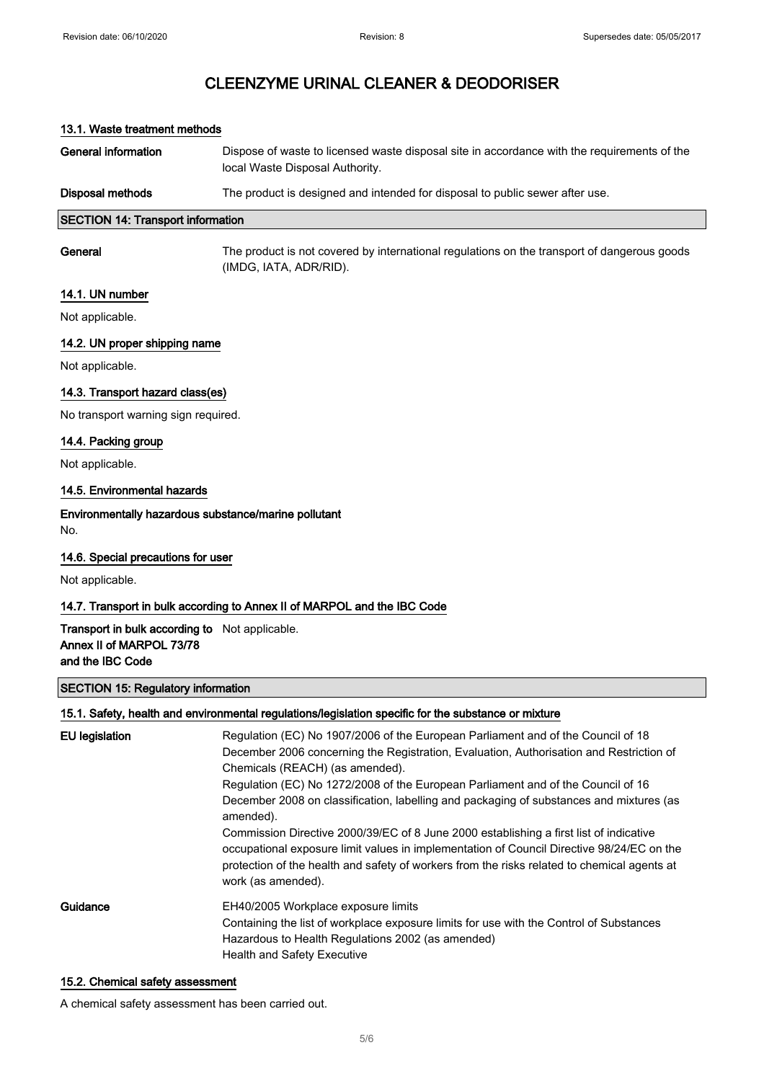### 13.1. Waste treatment methods

| Disposal methods    | The product is designed and intended for disposal to public sewer after use.                                                   |
|---------------------|--------------------------------------------------------------------------------------------------------------------------------|
| General information | Dispose of waste to licensed waste disposal site in accordance with the requirements of the<br>local Waste Disposal Authority. |

### SECTION 14: Transport information

General The product is not covered by international regulations on the transport of dangerous goods (IMDG, IATA, ADR/RID).

#### 14.1. UN number

Not applicable.

#### 14.2. UN proper shipping name

Not applicable.

#### 14.3. Transport hazard class(es)

No transport warning sign required.

#### 14.4. Packing group

Not applicable.

#### 14.5. Environmental hazards

Environmentally hazardous substance/marine pollutant No.

#### 14.6. Special precautions for user

Not applicable.

#### 14.7. Transport in bulk according to Annex II of MARPOL and the IBC Code

### Transport in bulk according to Not applicable. Annex II of MARPOL 73/78 and the IBC Code

#### SECTION 15: Regulatory information

#### 15.1. Safety, health and environmental regulations/legislation specific for the substance or mixture

| EU legislation | Regulation (EC) No 1907/2006 of the European Parliament and of the Council of 18<br>December 2006 concerning the Registration, Evaluation, Authorisation and Restriction of<br>Chemicals (REACH) (as amended).<br>Regulation (EC) No 1272/2008 of the European Parliament and of the Council of 16<br>December 2008 on classification, labelling and packaging of substances and mixtures (as<br>amended).<br>Commission Directive 2000/39/EC of 8 June 2000 establishing a first list of indicative<br>occupational exposure limit values in implementation of Council Directive 98/24/EC on the<br>protection of the health and safety of workers from the risks related to chemical agents at<br>work (as amended). |
|----------------|------------------------------------------------------------------------------------------------------------------------------------------------------------------------------------------------------------------------------------------------------------------------------------------------------------------------------------------------------------------------------------------------------------------------------------------------------------------------------------------------------------------------------------------------------------------------------------------------------------------------------------------------------------------------------------------------------------------------|
| Guidance       | EH40/2005 Workplace exposure limits<br>Containing the list of workplace exposure limits for use with the Control of Substances<br>Hazardous to Health Regulations 2002 (as amended)<br><b>Health and Safety Executive</b>                                                                                                                                                                                                                                                                                                                                                                                                                                                                                              |

#### 15.2. Chemical safety assessment

A chemical safety assessment has been carried out.